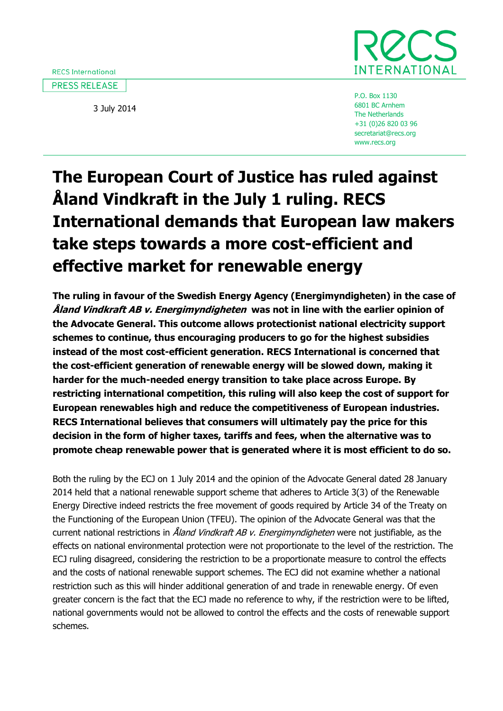3 July 2014



P.O. Box 1130 6801 BC Arnhem The Netherlands +31 (0)26 820 03 96 secretariat@recs.org www.recs.org

## **The European Court of Justice has ruled against Åland Vindkraft in the July 1 ruling. RECS International demands that European law makers take steps towards a more cost-efficient and effective market for renewable energy**

**The ruling in favour of the Swedish Energy Agency (Energimyndigheten) in the case of Åland Vindkraft AB v. Energimyndigheten was not in line with the earlier opinion of the Advocate General. This outcome allows protectionist national electricity support schemes to continue, thus encouraging producers to go for the highest subsidies instead of the most cost-efficient generation. RECS International is concerned that the cost-efficient generation of renewable energy will be slowed down, making it harder for the much-needed energy transition to take place across Europe. By restricting international competition, this ruling will also keep the cost of support for European renewables high and reduce the competitiveness of European industries. RECS International believes that consumers will ultimately pay the price for this decision in the form of higher taxes, tariffs and fees, when the alternative was to promote cheap renewable power that is generated where it is most efficient to do so.**

Both the ruling by the ECJ on 1 July 2014 and the opinion of the Advocate General dated 28 January 2014 held that a national renewable support scheme that adheres to Article 3(3) of the Renewable Energy Directive indeed restricts the free movement of goods required by Article 34 of the Treaty on the Functioning of the European Union (TFEU). The opinion of the Advocate General was that the current national restrictions in *Åland Vindkraft AB v. Energimyndigheten* were not justifiable, as the effects on national environmental protection were not proportionate to the level of the restriction. The ECJ ruling disagreed, considering the restriction to be a proportionate measure to control the effects and the costs of national renewable support schemes. The ECJ did not examine whether a national restriction such as this will hinder additional generation of and trade in renewable energy. Of even greater concern is the fact that the ECJ made no reference to why, if the restriction were to be lifted, national governments would not be allowed to control the effects and the costs of renewable support schemes.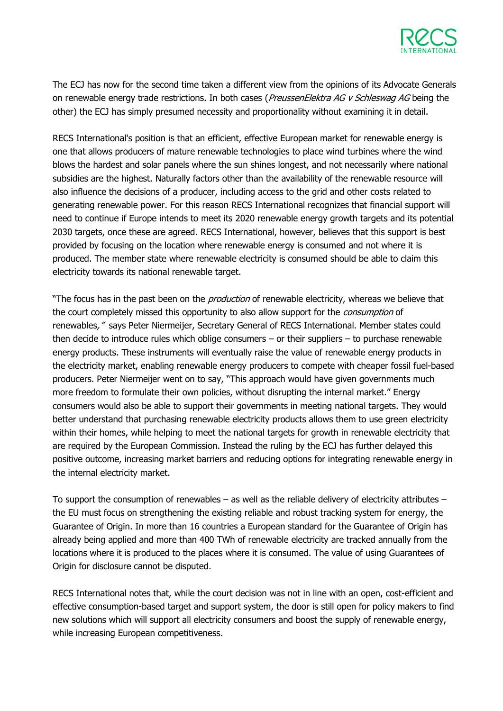

The ECJ has now for the second time taken a different view from the opinions of its Advocate Generals on renewable energy trade restrictions. In both cases (PreussenElektra AG v Schleswag AG being the other) the ECJ has simply presumed necessity and proportionality without examining it in detail.

RECS International's position is that an efficient, effective European market for renewable energy is one that allows producers of mature renewable technologies to place wind turbines where the wind blows the hardest and solar panels where the sun shines longest, and not necessarily where national subsidies are the highest. Naturally factors other than the availability of the renewable resource will also influence the decisions of a producer, including access to the grid and other costs related to generating renewable power. For this reason RECS International recognizes that financial support will need to continue if Europe intends to meet its 2020 renewable energy growth targets and its potential 2030 targets, once these are agreed. RECS International, however, believes that this support is best provided by focusing on the location where renewable energy is consumed and not where it is produced. The member state where renewable electricity is consumed should be able to claim this electricity towards its national renewable target.

"The focus has in the past been on the *production* of renewable electricity, whereas we believe that the court completely missed this opportunity to also allow support for the *consumption* of renewables," says Peter Niermeijer, Secretary General of RECS International. Member states could then decide to introduce rules which oblige consumers – or their suppliers – to purchase renewable energy products. These instruments will eventually raise the value of renewable energy products in the electricity market, enabling renewable energy producers to compete with cheaper fossil fuel-based producers. Peter Niermeijer went on to say, "This approach would have given governments much more freedom to formulate their own policies, without disrupting the internal market." Energy consumers would also be able to support their governments in meeting national targets. They would better understand that purchasing renewable electricity products allows them to use green electricity within their homes, while helping to meet the national targets for growth in renewable electricity that are required by the European Commission. Instead the ruling by the ECJ has further delayed this positive outcome, increasing market barriers and reducing options for integrating renewable energy in the internal electricity market.

To support the consumption of renewables – as well as the reliable delivery of electricity attributes – the EU must focus on strengthening the existing reliable and robust tracking system for energy, the Guarantee of Origin. In more than 16 countries a European standard for the Guarantee of Origin has already being applied and more than 400 TWh of renewable electricity are tracked annually from the locations where it is produced to the places where it is consumed. The value of using Guarantees of Origin for disclosure cannot be disputed.

RECS International notes that, while the court decision was not in line with an open, cost-efficient and effective consumption-based target and support system, the door is still open for policy makers to find new solutions which will support all electricity consumers and boost the supply of renewable energy, while increasing European competitiveness.